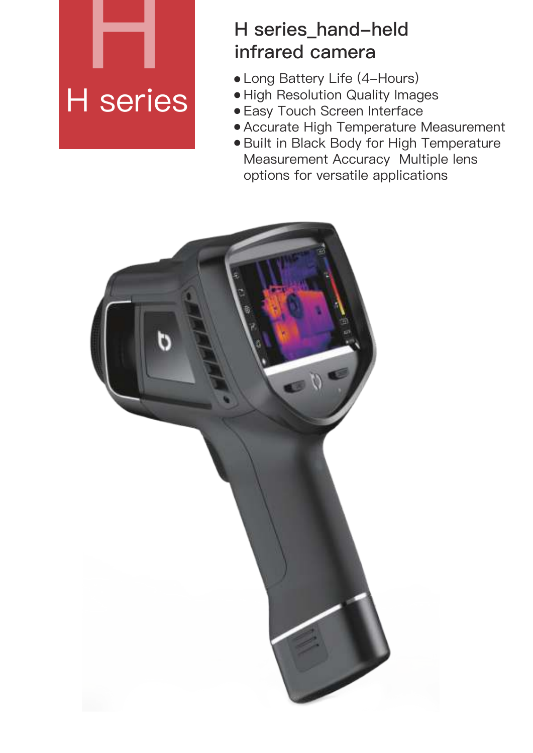## H series

## **H series\_hand-held infrared camera**

- Long Battery Life (4-Hours)
- · High Resolution Quality Images
- Easy Touch Screen Interface
- Accurate High Temperature Measurement
- **Built in Black Body for High Temperature** Measurement Accuracy Multiple lens options for versatile applications

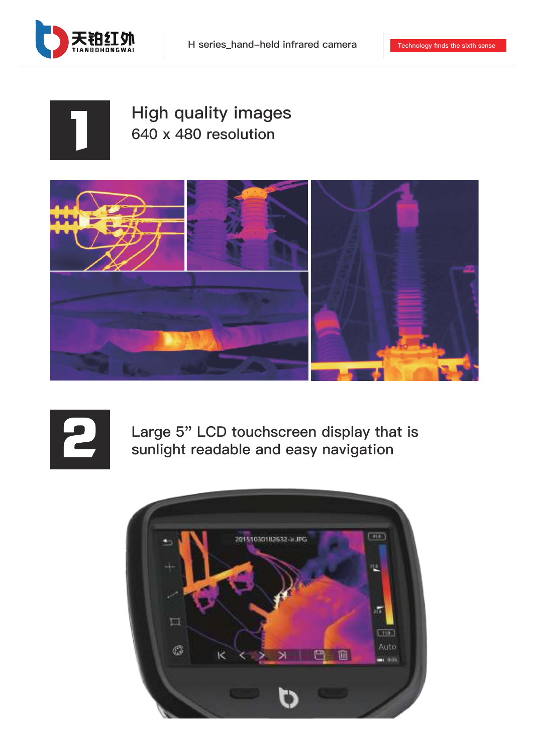

## **High quality images 640 x 480 resolution**





**Large 5" LCD touchscreen display that is sunlight readable and easy navigation**

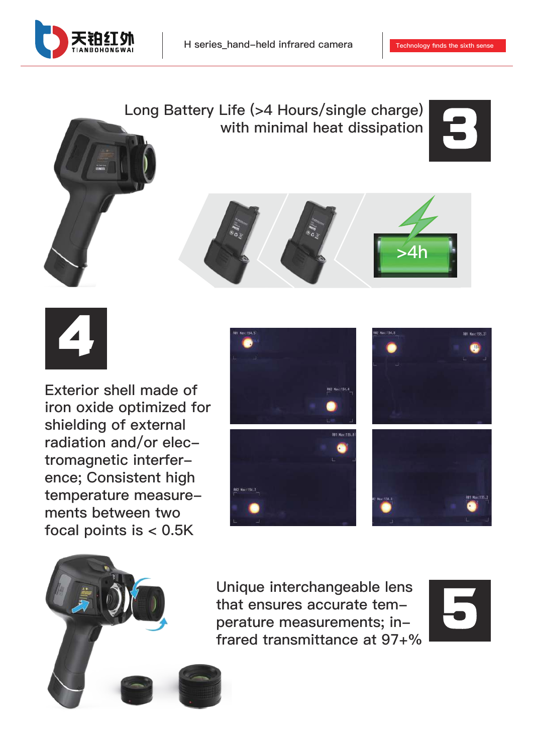











**Exterior shell made of iron oxide optimized for shielding of external radiation and/or electromagnetic interference; Consistent high temperature measurements between two focal points is < 0.5K**





**Unique interchangeable lens that ensures accurate temperature measurements; infrared transmittance at 97+%**